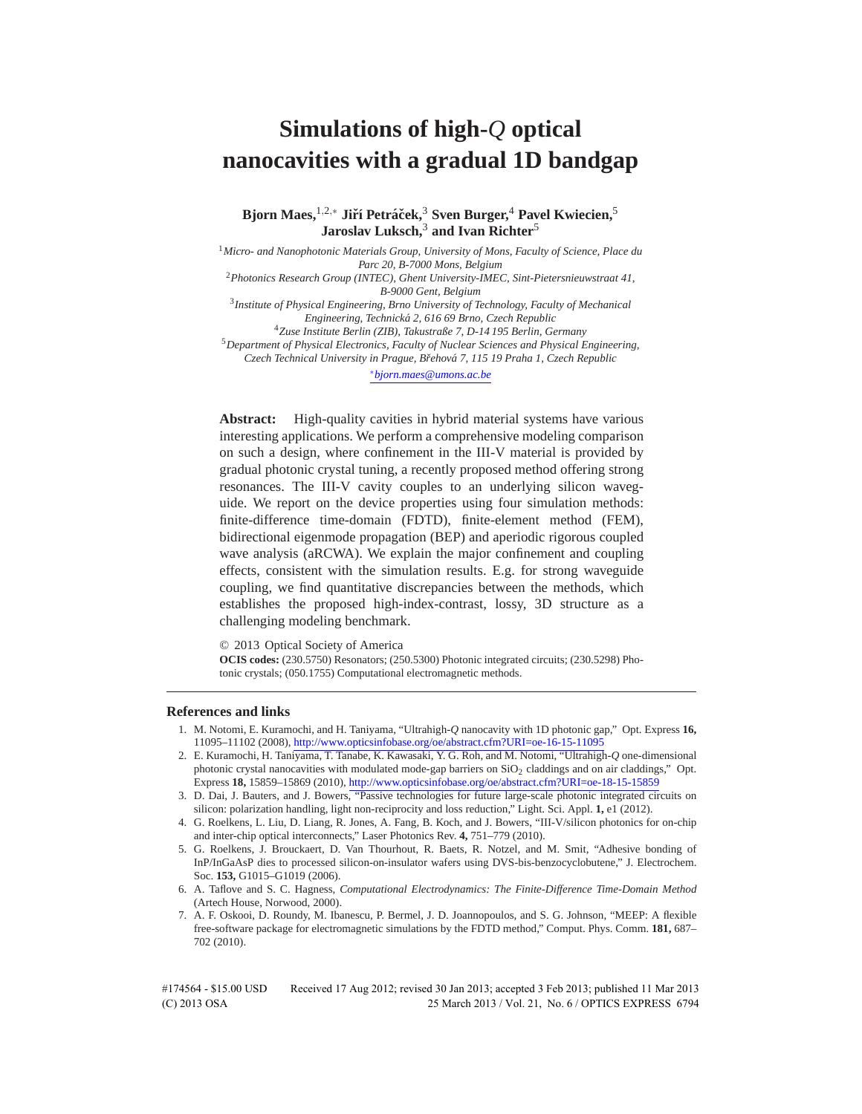# **Simulations of high-***Q* **optical nanocavities with a gradual 1D bandgap**

**Bjorn Maes,**1*,*2*,*<sup>∗</sup> **Jirˇ´ı Petra´cek, ˇ** <sup>3</sup> **Sven Burger,**<sup>4</sup> **Pavel Kwiecien,**<sup>5</sup> **Jaroslav Luksch,**<sup>3</sup> **and Ivan Richter**<sup>5</sup>

<sup>1</sup>*Micro- and Nanophotonic Materials Group, University of Mons, Faculty of Science, Place du Parc 20, B-7000 Mons, Belgium* <sup>2</sup>*Photonics Research Group (INTEC), Ghent University-IMEC, Sint-Pietersnieuwstraat 41, B-9000 Gent, Belgium* <sup>3</sup>*Institute of Physical Engineering, Brno University of Technology, Faculty of Mechanical Engineering, Technicka 2, 616 69 Brno, Czech Republic ´*

<sup>4</sup>*Zuse Institute Berlin (ZIB), Takustraße 7, D-14 195 Berlin, Germany* <sup>5</sup>*Department of Physical Electronics, Faculty of Nuclear Sciences and Physical Engineering, Czech Technical University in Prague, Brehov ˇ a 7, 115 19 Praha 1, Czech Republic ´*

∗*bjorn.maes@umons.ac.be*

**Abstract:** High-quality cavities in hybrid material systems have various interesting applications. We perform a comprehensive modeling comparison on such a design, where confinement in the III-V material is provided by gradual photonic crystal tuning, a recently proposed method offering strong resonances. The III-V cavity couples to an underlying silicon waveguide. We report on the device properties using four simulation methods: finite-difference time-domain (FDTD), finite-element method (FEM), bidirectional eigenmode propagation (BEP) and aperiodic rigorous coupled wave analysis (aRCWA). We explain the major confinement and coupling effects, consistent with the simulation results. E.g. for strong waveguide coupling, we find quantitative discrepancies between the methods, which establishes the proposed high-index-contrast, lossy, 3D structure as a challenging modeling benchmark.

© 2013 Optical Society of America

**OCIS codes:** (230.5750) Resonators; (250.5300) Photonic integrated circuits; (230.5298) Photonic crystals; (050.1755) Computational electromagnetic methods.

#### **References and links**

- 1. M. Notomi, E. Kuramochi, and H. Taniyama, "Ultrahigh-*Q* nanocavity with 1D photonic gap," Opt. Express **16,** 11095–11102 (2008), http://www.opticsinfobase.org/oe/abstract.cfm?URI=oe-16-15-11095
- 2. E. Kuramochi, H. Taniyama, T. Tanabe, K. Kawasaki, Y. G. Roh, and M. Notomi, "Ultrahigh-*Q* one-dimensional photonic crystal nanocavities with modulated mode-gap barriers on SiO<sub>2</sub> claddings and on air claddings," Opt. Express **18,** 15859–15869 (2010), http://www.opticsinfobase.org/oe/abstract.cfm?URI=oe-18-15-15859
- 3. D. Dai, J. Bauters, and J. Bowers, "Passive technologies for future large-scale photonic integrated circuits on silicon: polarization handling, light non-reciprocity and loss reduction," Light. Sci. Appl. **1,** e1 (2012).
- 4. G. Roelkens, L. Liu, D. Liang, R. Jones, A. Fang, B. Koch, and J. Bowers, "III-V/silicon photonics for on-chip and inter-chip optical interconnects," Laser Photonics Rev. **4,** 751–779 (2010).
- 5. G. Roelkens, J. Brouckaert, D. Van Thourhout, R. Baets, R. Notzel, and M. Smit, "Adhesive bonding of InP/InGaAsP dies to processed silicon-on-insulator wafers using DVS-bis-benzocyclobutene," J. Electrochem. Soc. **153,** G1015–G1019 (2006).
- 6. A. Taflove and S. C. Hagness, *Computational Electrodynamics: The Finite-Difference Time-Domain Method* (Artech House, Norwood, 2000).
- 7. A. F. Oskooi, D. Roundy, M. Ibanescu, P. Bermel, J. D. Joannopoulos, and S. G. Johnson, "MEEP: A flexible free-software package for electromagnetic simulations by the FDTD method," Comput. Phys. Comm. **181,** 687– 702 (2010).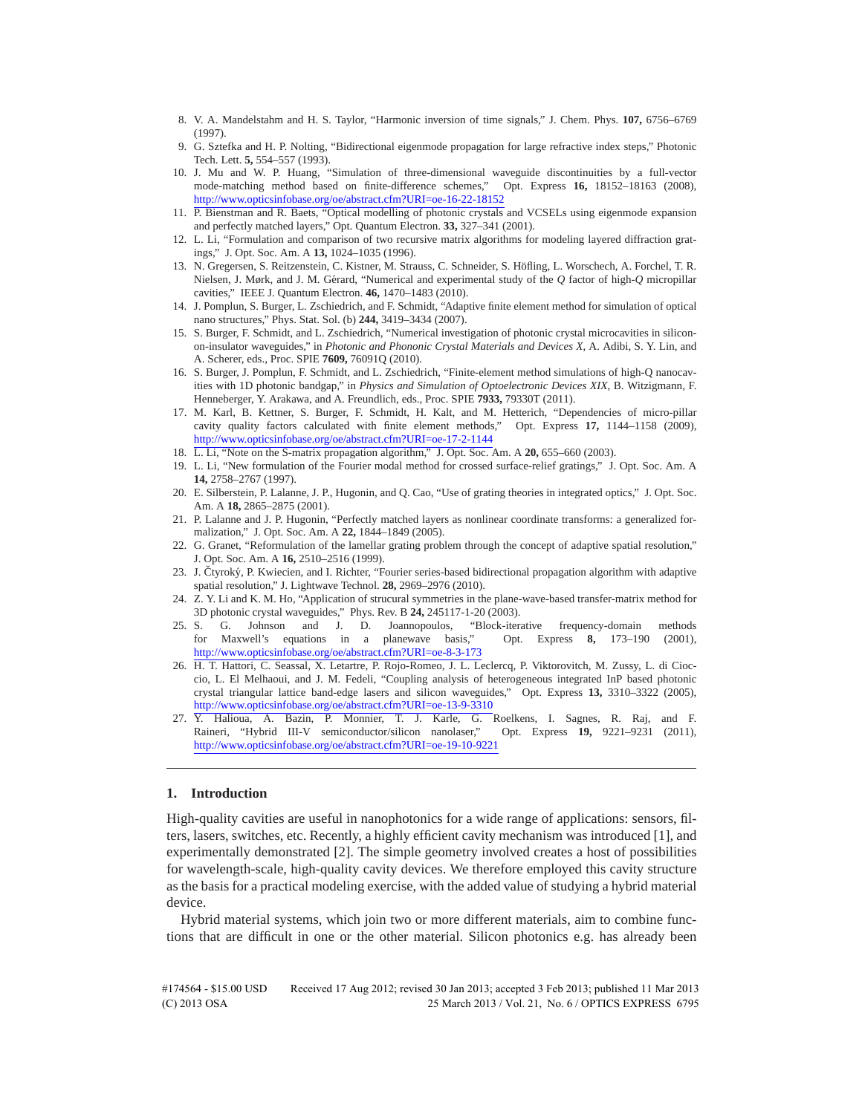- 8. V. A. Mandelstahm and H. S. Taylor, "Harmonic inversion of time signals," J. Chem. Phys. **107,** 6756–6769 (1997).
- 9. G. Sztefka and H. P. Nolting, "Bidirectional eigenmode propagation for large refractive index steps," Photonic Tech. Lett. **5,** 554–557 (1993).
- 10. J. Mu and W. P. Huang, "Simulation of three-dimensional waveguide discontinuities by a full-vector mode-matching method based on finite-difference schemes," http://www.opticsinfobase.org/oe/abstract.cfm?URI=oe-16-22-18152
- 11. P. Bienstman and R. Baets, "Optical modelling of photonic crystals and VCSELs using eigenmode expansion and perfectly matched layers," Opt. Quantum Electron. **33,** 327–341 (2001).
- 12. L. Li, "Formulation and comparison of two recursive matrix algorithms for modeling layered diffraction gratings," J. Opt. Soc. Am. A **13,** 1024–1035 (1996).
- 13. N. Gregersen, S. Reitzenstein, C. Kistner, M. Strauss, C. Schneider, S. Hofling, L. Worschech, A. Forchel, T. R. ¨ Nielsen, J. Mørk, and J. M. Gérard, "Numerical and experimental study of the  $Q$  factor of high- $Q$  micropillar cavities," IEEE J. Quantum Electron. **46,** 1470–1483 (2010).
- 14. J. Pomplun, S. Burger, L. Zschiedrich, and F. Schmidt, "Adaptive finite element method for simulation of optical nano structures," Phys. Stat. Sol. (b) **244,** 3419–3434 (2007).
- 15. S. Burger, F. Schmidt, and L. Zschiedrich, "Numerical investigation of photonic crystal microcavities in siliconon-insulator waveguides," in *Photonic and Phononic Crystal Materials and Devices X*, A. Adibi, S. Y. Lin, and A. Scherer, eds., Proc. SPIE **7609,** 76091Q (2010).
- 16. S. Burger, J. Pomplun, F. Schmidt, and L. Zschiedrich, "Finite-element method simulations of high-Q nanocavities with 1D photonic bandgap," in *Physics and Simulation of Optoelectronic Devices XIX*, B. Witzigmann, F. Henneberger, Y. Arakawa, and A. Freundlich, eds., Proc. SPIE **7933,** 79330T (2011).
- 17. M. Karl, B. Kettner, S. Burger, F. Schmidt, H. Kalt, and M. Hetterich, "Dependencies of micro-pillar cavity quality factors calculated with finite element methods," Opt. Express **17,** 1144–1158 (2009), http://www.opticsinfobase.org/oe/abstract.cfm?URI=oe-17-2-1144
- 18. L. Li, "Note on the S-matrix propagation algorithm," J. Opt. Soc. Am. A **20,** 655–660 (2003).
- 19. L. Li, "New formulation of the Fourier modal method for crossed surface-relief gratings," J. Opt. Soc. Am. A **14,** 2758–2767 (1997).
- 20. E. Silberstein, P. Lalanne, J. P., Hugonin, and Q. Cao, "Use of grating theories in integrated optics," J. Opt. Soc. Am. A **18,** 2865–2875 (2001).
- 21. P. Lalanne and J. P. Hugonin, "Perfectly matched layers as nonlinear coordinate transforms: a generalized formalization," J. Opt. Soc. Am. A **22,** 1844–1849 (2005).
- 22. G. Granet, "Reformulation of the lamellar grating problem through the concept of adaptive spatial resolution," J. Opt. Soc. Am. A **16,** 2510–2516 (1999).
- 23. J. Čtyroký, P. Kwiecien, and I. Richter, "Fourier series-based bidirectional propagation algorithm with adaptive spatial resolution," J. Lightwave Technol. **28,** 2969–2976 (2010).
- 24. Z. Y. Li and K. M. Ho, "Application of strucural symmetries in the plane-wave-based transfer-matrix method for 3D photonic crystal waveguides," Phys. Rev. B **24,** 245117-1-20 (2003).
- 25. S. G. Johnson and J. D. Joannopoulos, "Block-iterative frequency-domain methods for Maxwell's equations in a planewave basis," Opt. Express **8,** 173–190 (2001), http://www.opticsinfobase.org/oe/abstract.cfm?URI=oe-8-3-173
- 26. H. T. Hattori, C. Seassal, X. Letartre, P. Rojo-Romeo, J. L. Leclercq, P. Viktorovitch, M. Zussy, L. di Cioccio, L. El Melhaoui, and J. M. Fedeli, "Coupling analysis of heterogeneous integrated InP based photonic crystal triangular lattice band-edge lasers and silicon waveguides," Opt. Express **13,** 3310–3322 (2005), http://www.opticsinfobase.org/oe/abstract.cfm?URI=oe-13-9-3310
- 27. Y. Halioua, A. Bazin, P. Monnier, T. J. Karle, G. Roelkens, I. Sagnes, R. Raj, and F. Raineri, "Hybrid III-V semiconductor/silicon nanolaser," Opt. Express **19,** 9221–9231 (2011), http://www.opticsinfobase.org/oe/abstract.cfm?URI=oe-19-10-9221

#### **1. Introduction**

High-quality cavities are useful in nanophotonics for a wide range of applications: sensors, filters, lasers, switches, etc. Recently, a highly efficient cavity mechanism was introduced [1], and experimentally demonstrated [2]. The simple geometry involved creates a host of possibilities for wavelength-scale, high-quality cavity devices. We therefore employed this cavity structure as the basis for a practical modeling exercise, with the added value of studying a hybrid material device.

Hybrid material systems, which join two or more different materials, aim to combine functions that are difficult in one or the other material. Silicon photonics e.g. has already been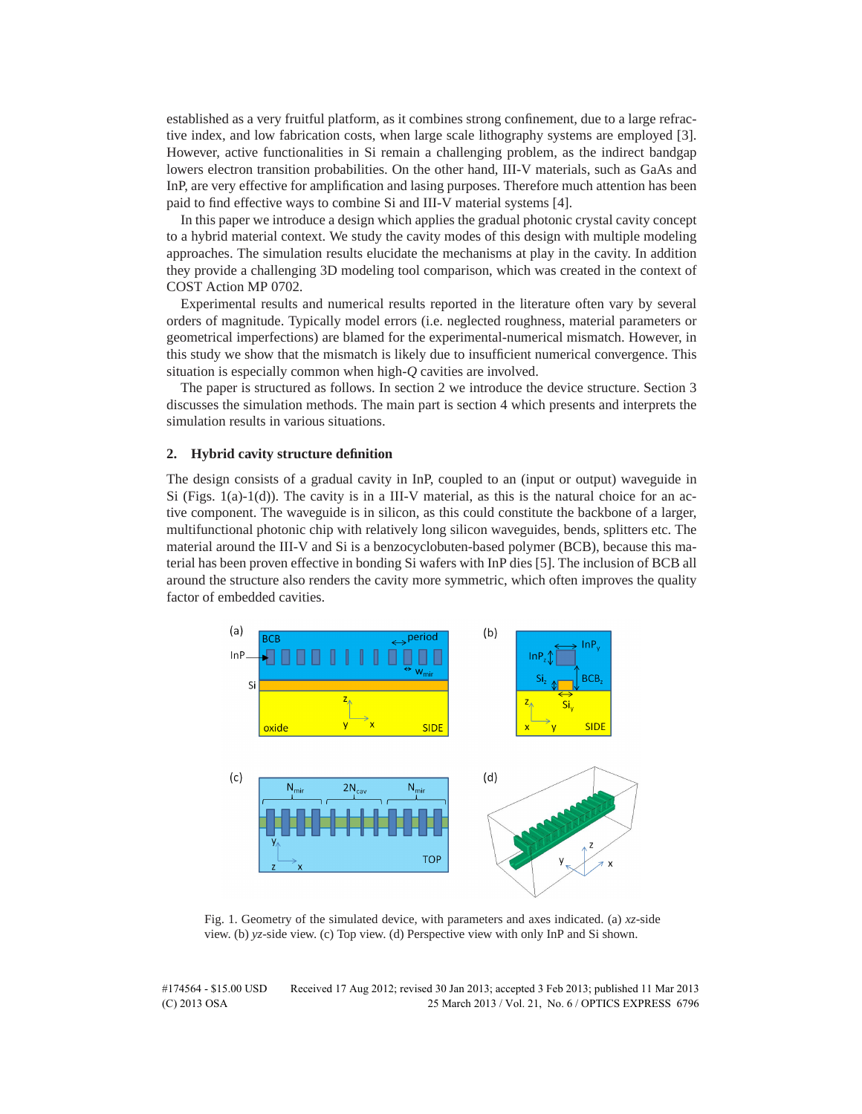established as a very fruitful platform, as it combines strong confinement, due to a large refractive index, and low fabrication costs, when large scale lithography systems are employed [3]. However, active functionalities in Si remain a challenging problem, as the indirect bandgap lowers electron transition probabilities. On the other hand, III-V materials, such as GaAs and InP, are very effective for amplification and lasing purposes. Therefore much attention has been paid to find effective ways to combine Si and III-V material systems [4].

In this paper we introduce a design which applies the gradual photonic crystal cavity concept to a hybrid material context. We study the cavity modes of this design with multiple modeling approaches. The simulation results elucidate the mechanisms at play in the cavity. In addition they provide a challenging 3D modeling tool comparison, which was created in the context of COST Action MP 0702.

Experimental results and numerical results reported in the literature often vary by several orders of magnitude. Typically model errors (i.e. neglected roughness, material parameters or geometrical imperfections) are blamed for the experimental-numerical mismatch. However, in this study we show that the mismatch is likely due to insufficient numerical convergence. This situation is especially common when high-*Q* cavities are involved.

The paper is structured as follows. In section 2 we introduce the device structure. Section 3 discusses the simulation methods. The main part is section 4 which presents and interprets the simulation results in various situations.

# **2. Hybrid cavity structure definition**

The design consists of a gradual cavity in InP, coupled to an (input or output) waveguide in Si (Figs.  $1(a)-1(d)$ ). The cavity is in a III-V material, as this is the natural choice for an active component. The waveguide is in silicon, as this could constitute the backbone of a larger, multifunctional photonic chip with relatively long silicon waveguides, bends, splitters etc. The material around the III-V and Si is a benzocyclobuten-based polymer (BCB), because this material has been proven effective in bonding Si wafers with InP dies [5]. The inclusion of BCB all around the structure also renders the cavity more symmetric, which often improves the quality factor of embedded cavities.



Fig. 1. Geometry of the simulated device, with parameters and axes indicated. (a) *xz*-side view. (b) *yz*-side view. (c) Top view. (d) Perspective view with only InP and Si shown.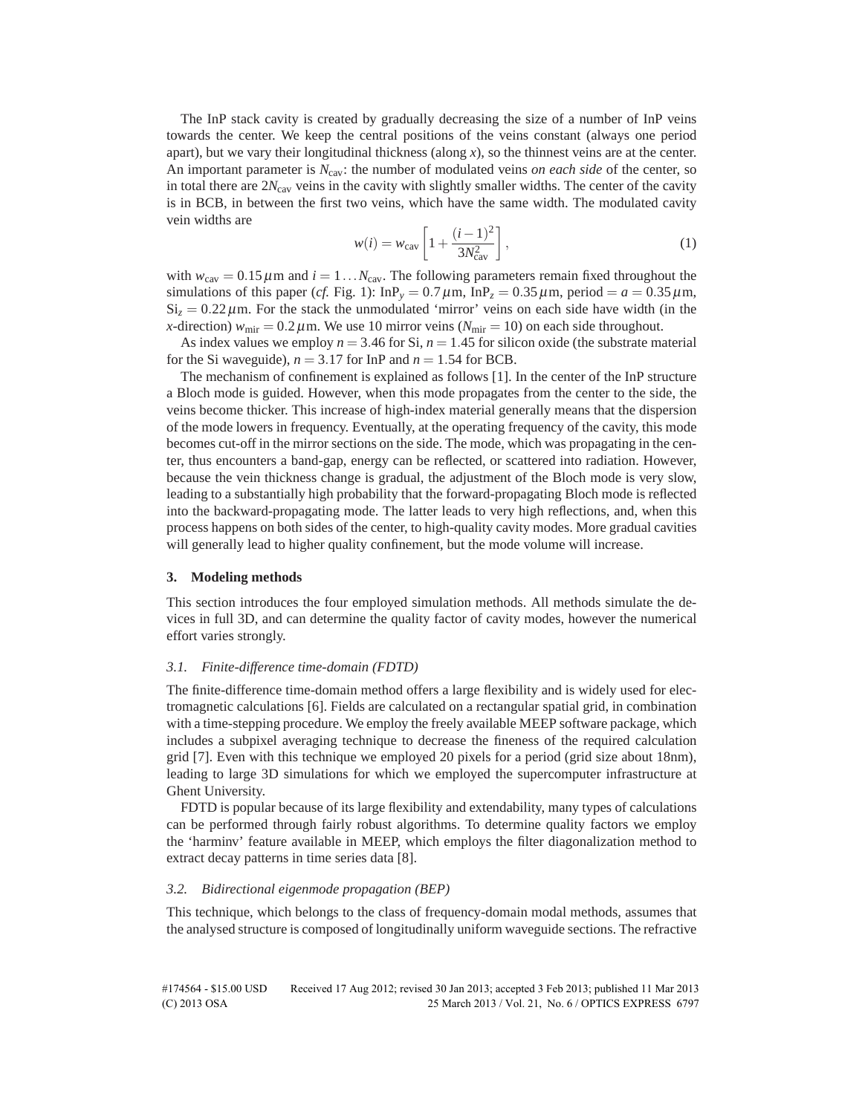The InP stack cavity is created by gradually decreasing the size of a number of InP veins towards the center. We keep the central positions of the veins constant (always one period apart), but we vary their longitudinal thickness (along *x*), so the thinnest veins are at the center. An important parameter is  $N_{\rm cav}$ : the number of modulated veins *on each side* of the center, so in total there are  $2N_{\text{cav}}$  veins in the cavity with slightly smaller widths. The center of the cavity is in BCB, in between the first two veins, which have the same width. The modulated cavity vein widths are

$$
w(i) = w_{\text{cav}} \left[ 1 + \frac{(i-1)^2}{3N_{\text{cav}}^2} \right],
$$
 (1)

with  $w_{\text{cav}} = 0.15 \,\mu\text{m}$  and  $i = 1 \dots N_{\text{cav}}$ . The following parameters remain fixed throughout the simulations of this paper (*cf.* Fig. 1):  $\text{InP}_y = 0.7 \,\mu\text{m}$ ,  $\text{InP}_z = 0.35 \,\mu\text{m}$ , period =  $a = 0.35 \,\mu\text{m}$ ,  $Si<sub>z</sub> = 0.22 \mu$ m. For the stack the unmodulated 'mirror' veins on each side have width (in the *x*-direction)  $w_{\text{mir}} = 0.2 \,\mu$ m. We use 10 mirror veins ( $N_{\text{mir}} = 10$ ) on each side throughout.

As index values we employ  $n = 3.46$  for Si,  $n = 1.45$  for silicon oxide (the substrate material for the Si waveguide),  $n = 3.17$  for InP and  $n = 1.54$  for BCB.

The mechanism of confinement is explained as follows [1]. In the center of the InP structure a Bloch mode is guided. However, when this mode propagates from the center to the side, the veins become thicker. This increase of high-index material generally means that the dispersion of the mode lowers in frequency. Eventually, at the operating frequency of the cavity, this mode becomes cut-off in the mirror sections on the side. The mode, which was propagating in the center, thus encounters a band-gap, energy can be reflected, or scattered into radiation. However, because the vein thickness change is gradual, the adjustment of the Bloch mode is very slow, leading to a substantially high probability that the forward-propagating Bloch mode is reflected into the backward-propagating mode. The latter leads to very high reflections, and, when this process happens on both sides of the center, to high-quality cavity modes. More gradual cavities will generally lead to higher quality confinement, but the mode volume will increase.

#### **3. Modeling methods**

This section introduces the four employed simulation methods. All methods simulate the devices in full 3D, and can determine the quality factor of cavity modes, however the numerical effort varies strongly.

## *3.1. Finite-difference time-domain (FDTD)*

The finite-difference time-domain method offers a large flexibility and is widely used for electromagnetic calculations [6]. Fields are calculated on a rectangular spatial grid, in combination with a time-stepping procedure. We employ the freely available MEEP software package, which includes a subpixel averaging technique to decrease the fineness of the required calculation grid [7]. Even with this technique we employed 20 pixels for a period (grid size about 18nm), leading to large 3D simulations for which we employed the supercomputer infrastructure at Ghent University.

FDTD is popular because of its large flexibility and extendability, many types of calculations can be performed through fairly robust algorithms. To determine quality factors we employ the 'harminv' feature available in MEEP, which employs the filter diagonalization method to extract decay patterns in time series data [8].

#### *3.2. Bidirectional eigenmode propagation (BEP)*

This technique, which belongs to the class of frequency-domain modal methods, assumes that the analysed structure is composed of longitudinally uniform waveguide sections. The refractive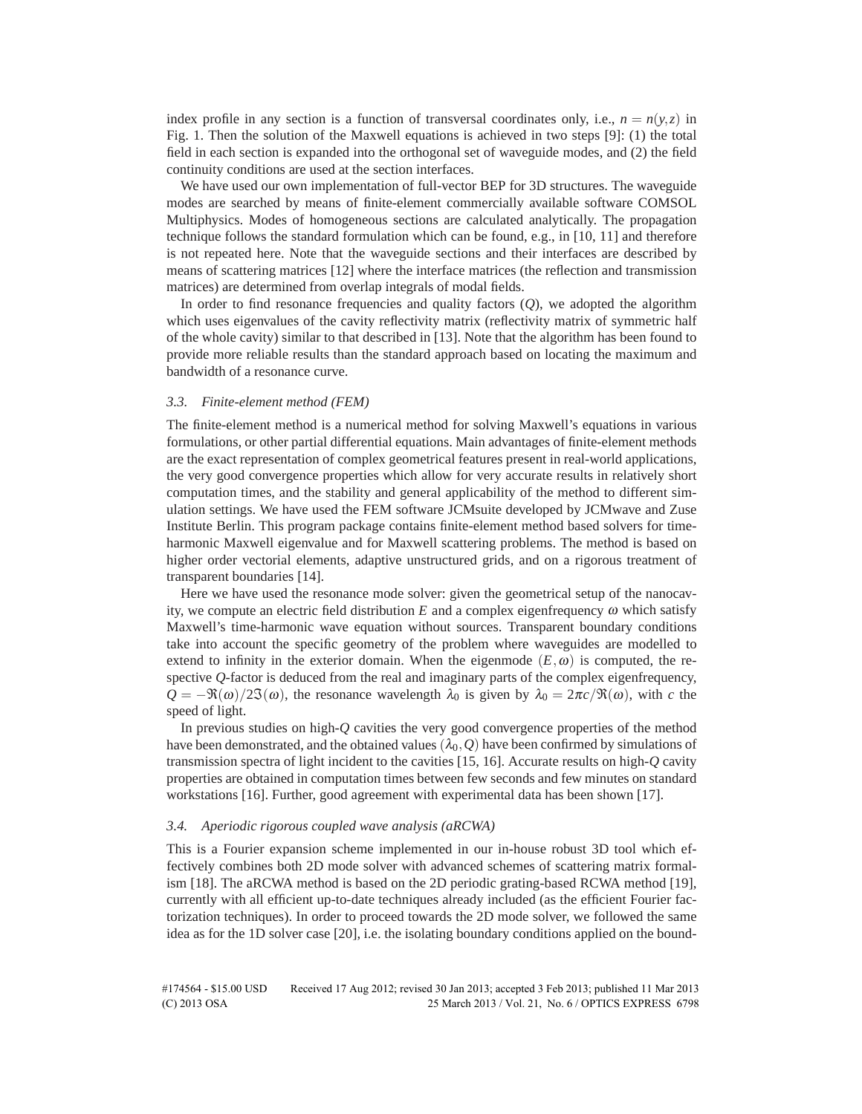index profile in any section is a function of transversal coordinates only, i.e.,  $n = n(y, z)$  in Fig. 1. Then the solution of the Maxwell equations is achieved in two steps [9]: (1) the total field in each section is expanded into the orthogonal set of waveguide modes, and (2) the field continuity conditions are used at the section interfaces.

We have used our own implementation of full-vector BEP for 3D structures. The waveguide modes are searched by means of finite-element commercially available software COMSOL Multiphysics. Modes of homogeneous sections are calculated analytically. The propagation technique follows the standard formulation which can be found, e.g., in [10, 11] and therefore is not repeated here. Note that the waveguide sections and their interfaces are described by means of scattering matrices [12] where the interface matrices (the reflection and transmission matrices) are determined from overlap integrals of modal fields.

In order to find resonance frequencies and quality factors (*Q*), we adopted the algorithm which uses eigenvalues of the cavity reflectivity matrix (reflectivity matrix of symmetric half of the whole cavity) similar to that described in [13]. Note that the algorithm has been found to provide more reliable results than the standard approach based on locating the maximum and bandwidth of a resonance curve.

# *3.3. Finite-element method (FEM)*

The finite-element method is a numerical method for solving Maxwell's equations in various formulations, or other partial differential equations. Main advantages of finite-element methods are the exact representation of complex geometrical features present in real-world applications, the very good convergence properties which allow for very accurate results in relatively short computation times, and the stability and general applicability of the method to different simulation settings. We have used the FEM software JCMsuite developed by JCMwave and Zuse Institute Berlin. This program package contains finite-element method based solvers for timeharmonic Maxwell eigenvalue and for Maxwell scattering problems. The method is based on higher order vectorial elements, adaptive unstructured grids, and on a rigorous treatment of transparent boundaries [14].

Here we have used the resonance mode solver: given the geometrical setup of the nanocavity, we compute an electric field distribution  $E$  and a complex eigenfrequency  $\omega$  which satisfy Maxwell's time-harmonic wave equation without sources. Transparent boundary conditions take into account the specific geometry of the problem where waveguides are modelled to extend to infinity in the exterior domain. When the eigenmode  $(E, \omega)$  is computed, the respective *Q*-factor is deduced from the real and imaginary parts of the complex eigenfrequency,  $Q = -\Re(\omega)/2\Im(\omega)$ , the resonance wavelength  $\lambda_0$  is given by  $\lambda_0 = 2\pi c/\Re(\omega)$ , with *c* the speed of light.

In previous studies on high-*Q* cavities the very good convergence properties of the method have been demonstrated, and the obtained values  $(\lambda_0, O)$  have been confirmed by simulations of transmission spectra of light incident to the cavities [15, 16]. Accurate results on high-*Q* cavity properties are obtained in computation times between few seconds and few minutes on standard workstations [16]. Further, good agreement with experimental data has been shown [17].

## *3.4. Aperiodic rigorous coupled wave analysis (aRCWA)*

This is a Fourier expansion scheme implemented in our in-house robust 3D tool which effectively combines both 2D mode solver with advanced schemes of scattering matrix formalism [18]. The aRCWA method is based on the 2D periodic grating-based RCWA method [19], currently with all efficient up-to-date techniques already included (as the efficient Fourier factorization techniques). In order to proceed towards the 2D mode solver, we followed the same idea as for the 1D solver case [20], i.e. the isolating boundary conditions applied on the bound-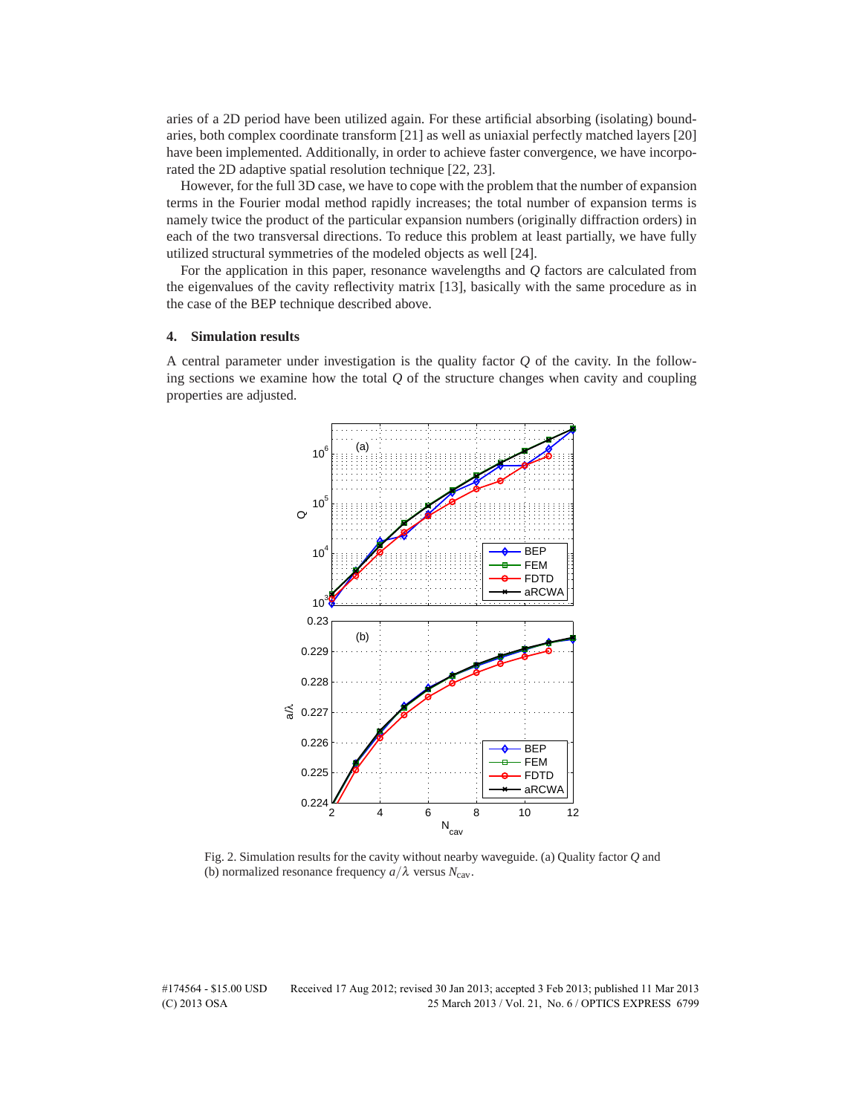aries of a 2D period have been utilized again. For these artificial absorbing (isolating) boundaries, both complex coordinate transform [21] as well as uniaxial perfectly matched layers [20] have been implemented. Additionally, in order to achieve faster convergence, we have incorporated the 2D adaptive spatial resolution technique [22, 23].

However, for the full 3D case, we have to cope with the problem that the number of expansion terms in the Fourier modal method rapidly increases; the total number of expansion terms is namely twice the product of the particular expansion numbers (originally diffraction orders) in each of the two transversal directions. To reduce this problem at least partially, we have fully utilized structural symmetries of the modeled objects as well [24].

For the application in this paper, resonance wavelengths and *Q* factors are calculated from the eigenvalues of the cavity reflectivity matrix [13], basically with the same procedure as in the case of the BEP technique described above.

# **4. Simulation results**

A central parameter under investigation is the quality factor *Q* of the cavity. In the following sections we examine how the total *Q* of the structure changes when cavity and coupling properties are adjusted.



Fig. 2. Simulation results for the cavity without nearby waveguide. (a) Quality factor *Q* and (b) normalized resonance frequency  $a/\lambda$  versus  $N_{\text{cav}}$ .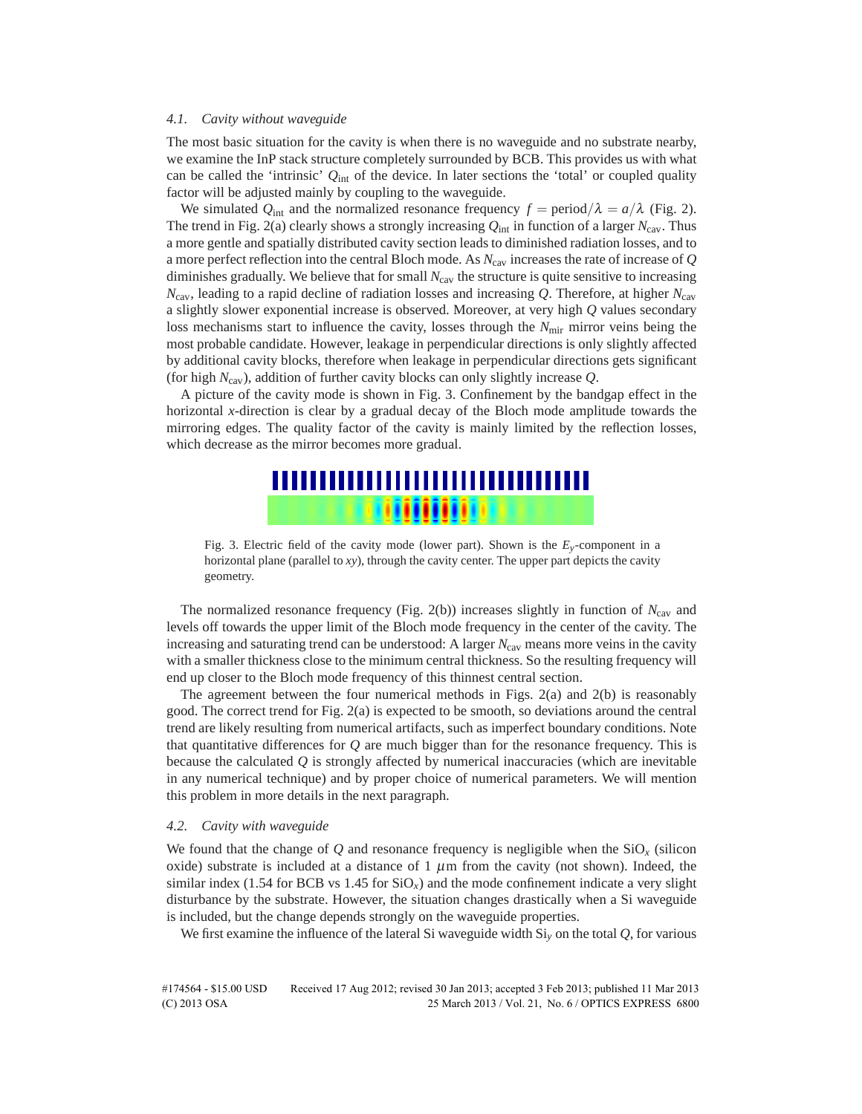#### *4.1. Cavity without waveguide*

The most basic situation for the cavity is when there is no waveguide and no substrate nearby, we examine the InP stack structure completely surrounded by BCB. This provides us with what can be called the 'intrinsic' *Q*int of the device. In later sections the 'total' or coupled quality factor will be adjusted mainly by coupling to the waveguide.

We simulated  $Q_{\text{int}}$  and the normalized resonance frequency  $f = \text{period}/\lambda = a/\lambda$  (Fig. 2). The trend in Fig. 2(a) clearly shows a strongly increasing  $Q_{int}$  in function of a larger  $N_{cav}$ . Thus a more gentle and spatially distributed cavity section leads to diminished radiation losses, and to a more perfect reflection into the central Bloch mode. As *N*cav increases the rate of increase of *Q* diminishes gradually. We believe that for small *N*<sub>cav</sub> the structure is quite sensitive to increasing *N*cav, leading to a rapid decline of radiation losses and increasing *Q*. Therefore, at higher *N*cav a slightly slower exponential increase is observed. Moreover, at very high *Q* values secondary loss mechanisms start to influence the cavity, losses through the  $N_{\text{mir}}$  mirror veins being the most probable candidate. However, leakage in perpendicular directions is only slightly affected by additional cavity blocks, therefore when leakage in perpendicular directions gets significant (for high  $N_{\text{cav}}$ ), addition of further cavity blocks can only slightly increase  $Q$ .

A picture of the cavity mode is shown in Fig. 3. Confinement by the bandgap effect in the horizontal *x*-direction is clear by a gradual decay of the Bloch mode amplitude towards the mirroring edges. The quality factor of the cavity is mainly limited by the reflection losses, which decrease as the mirror becomes more gradual.



Fig. 3. Electric field of the cavity mode (lower part). Shown is the  $E_y$ -component in a horizontal plane (parallel to *xy*), through the cavity center. The upper part depicts the cavity geometry.

The normalized resonance frequency (Fig. 2(b)) increases slightly in function of  $N_{\text{cav}}$  and levels off towards the upper limit of the Bloch mode frequency in the center of the cavity. The increasing and saturating trend can be understood: A larger *N*cav means more veins in the cavity with a smaller thickness close to the minimum central thickness. So the resulting frequency will end up closer to the Bloch mode frequency of this thinnest central section.

The agreement between the four numerical methods in Figs. 2(a) and 2(b) is reasonably good. The correct trend for Fig. 2(a) is expected to be smooth, so deviations around the central trend are likely resulting from numerical artifacts, such as imperfect boundary conditions. Note that quantitative differences for  $Q$  are much bigger than for the resonance frequency. This is because the calculated *Q* is strongly affected by numerical inaccuracies (which are inevitable in any numerical technique) and by proper choice of numerical parameters. We will mention this problem in more details in the next paragraph.

## *4.2. Cavity with waveguide*

We found that the change of  $Q$  and resonance frequency is negligible when the  $SiO<sub>x</sub>$  (silicon oxide) substrate is included at a distance of  $1 \mu m$  from the cavity (not shown). Indeed, the similar index (1.54 for BCB vs 1.45 for  $SiO<sub>x</sub>$ ) and the mode confinement indicate a very slight disturbance by the substrate. However, the situation changes drastically when a Si waveguide is included, but the change depends strongly on the waveguide properties.

We first examine the influence of the lateral Si waveguide width  $Si<sub>v</sub>$  on the total Q, for various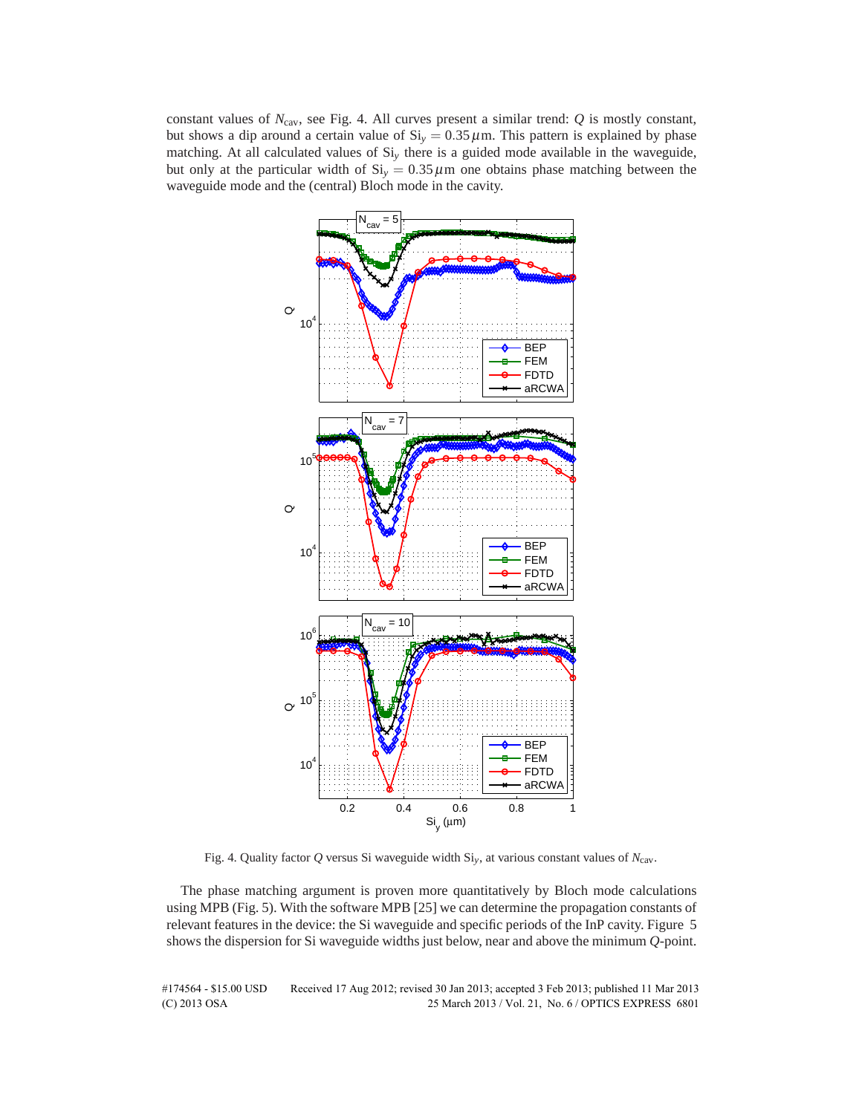constant values of  $N_{\rm cav}$ , see Fig. 4. All curves present a similar trend:  $Q$  is mostly constant, but shows a dip around a certain value of  $Si_y = 0.35 \,\mu \text{m}$ . This pattern is explained by phase matching. At all calculated values of Si*<sup>y</sup>* there is a guided mode available in the waveguide, but only at the particular width of  $Si_y = 0.35 \mu m$  one obtains phase matching between the waveguide mode and the (central) Bloch mode in the cavity.



Fig. 4. Quality factor *Q* versus Si waveguide width Si*y*, at various constant values of *N*cav.

The phase matching argument is proven more quantitatively by Bloch mode calculations using MPB (Fig. 5). With the software MPB [25] we can determine the propagation constants of relevant features in the device: the Si waveguide and specific periods of the InP cavity. Figure 5 shows the dispersion for Si waveguide widths just below, near and above the minimum *Q*-point.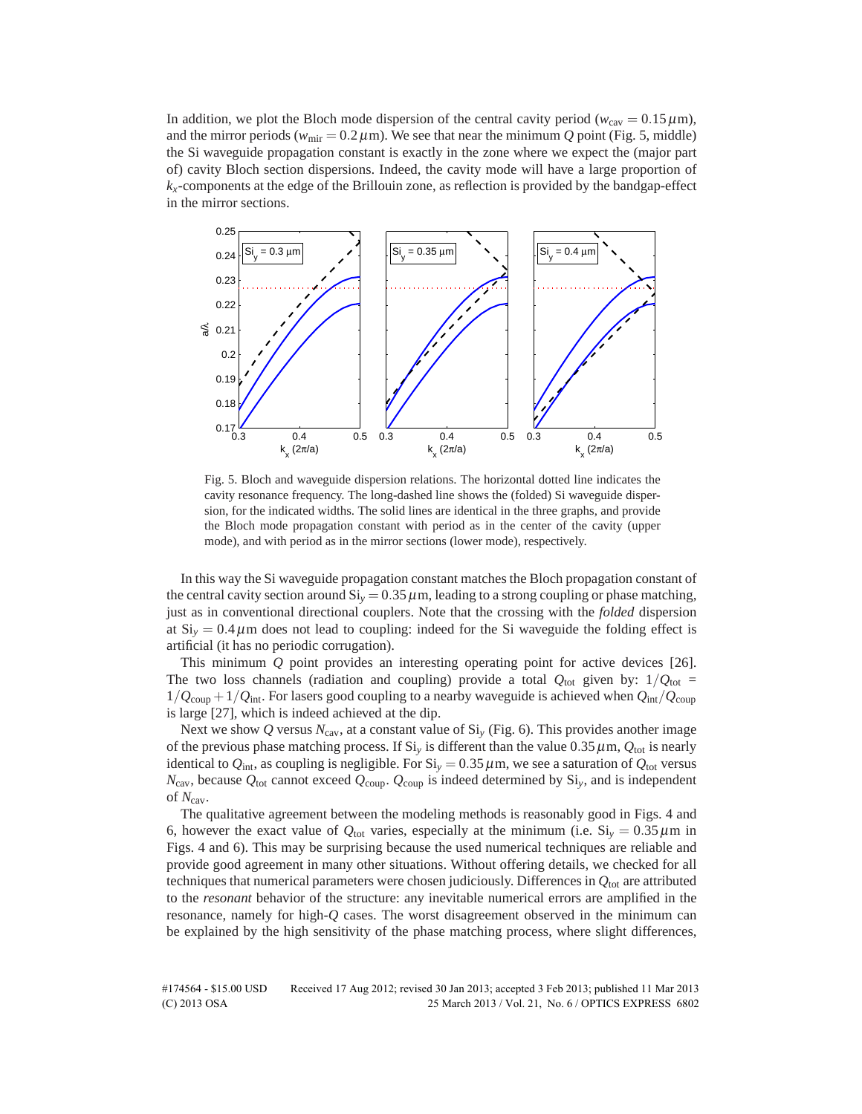In addition, we plot the Bloch mode dispersion of the central cavity period ( $w_{\rm cav} = 0.15 \,\mu \rm m$ ), and the mirror periods ( $w_{\text{mir}} = 0.2 \,\mu\text{m}$ ). We see that near the minimum *Q* point (Fig. 5, middle) the Si waveguide propagation constant is exactly in the zone where we expect the (major part of) cavity Bloch section dispersions. Indeed, the cavity mode will have a large proportion of  $k_x$ -components at the edge of the Brillouin zone, as reflection is provided by the bandgap-effect in the mirror sections.



Fig. 5. Bloch and waveguide dispersion relations. The horizontal dotted line indicates the cavity resonance frequency. The long-dashed line shows the (folded) Si waveguide dispersion, for the indicated widths. The solid lines are identical in the three graphs, and provide the Bloch mode propagation constant with period as in the center of the cavity (upper mode), and with period as in the mirror sections (lower mode), respectively.

In this way the Si waveguide propagation constant matches the Bloch propagation constant of the central cavity section around  $Si_y = 0.35 \,\mu$ m, leading to a strong coupling or phase matching, just as in conventional directional couplers. Note that the crossing with the *folded* dispersion at  $Si_y = 0.4 \mu$ m does not lead to coupling: indeed for the Si waveguide the folding effect is artificial (it has no periodic corrugation).

This minimum *Q* point provides an interesting operating point for active devices [26]. The two loss channels (radiation and coupling) provide a total  $Q_{\text{tot}}$  given by:  $1/Q_{\text{tot}} =$  $1/Q_{\text{coup}} + 1/Q_{\text{int}}$ . For lasers good coupling to a nearby waveguide is achieved when  $Q_{\text{int}}/Q_{\text{coup}}$ is large [27], which is indeed achieved at the dip.

Next we show Q versus  $N_{\rm cav}$ , at a constant value of  $Si_y$  (Fig. 6). This provides another image of the previous phase matching process. If  $Si_y$  is different than the value 0.35  $\mu$ m,  $Q_{\text{tot}}$  is nearly identical to  $Q_{\text{int}}$ , as coupling is negligible. For  $Si_y = 0.35 \,\mu \text{m}$ , we see a saturation of  $Q_{\text{tot}}$  versus  $N_{\text{cav}}$ , because  $Q_{\text{tot}}$  cannot exceed  $Q_{\text{coup}}$ .  $Q_{\text{coup}}$  is indeed determined by Si<sub>y</sub>, and is independent of  $N_{\text{cav}}$ .

The qualitative agreement between the modeling methods is reasonably good in Figs. 4 and 6, however the exact value of  $Q_{\text{tot}}$  varies, especially at the minimum (i.e.  $Si_y = 0.35 \,\mu \text{m}$  in Figs. 4 and 6). This may be surprising because the used numerical techniques are reliable and provide good agreement in many other situations. Without offering details, we checked for all techniques that numerical parameters were chosen judiciously. Differences in  $Q_{\text{tot}}$  are attributed to the *resonant* behavior of the structure: any inevitable numerical errors are amplified in the resonance, namely for high-*Q* cases. The worst disagreement observed in the minimum can be explained by the high sensitivity of the phase matching process, where slight differences,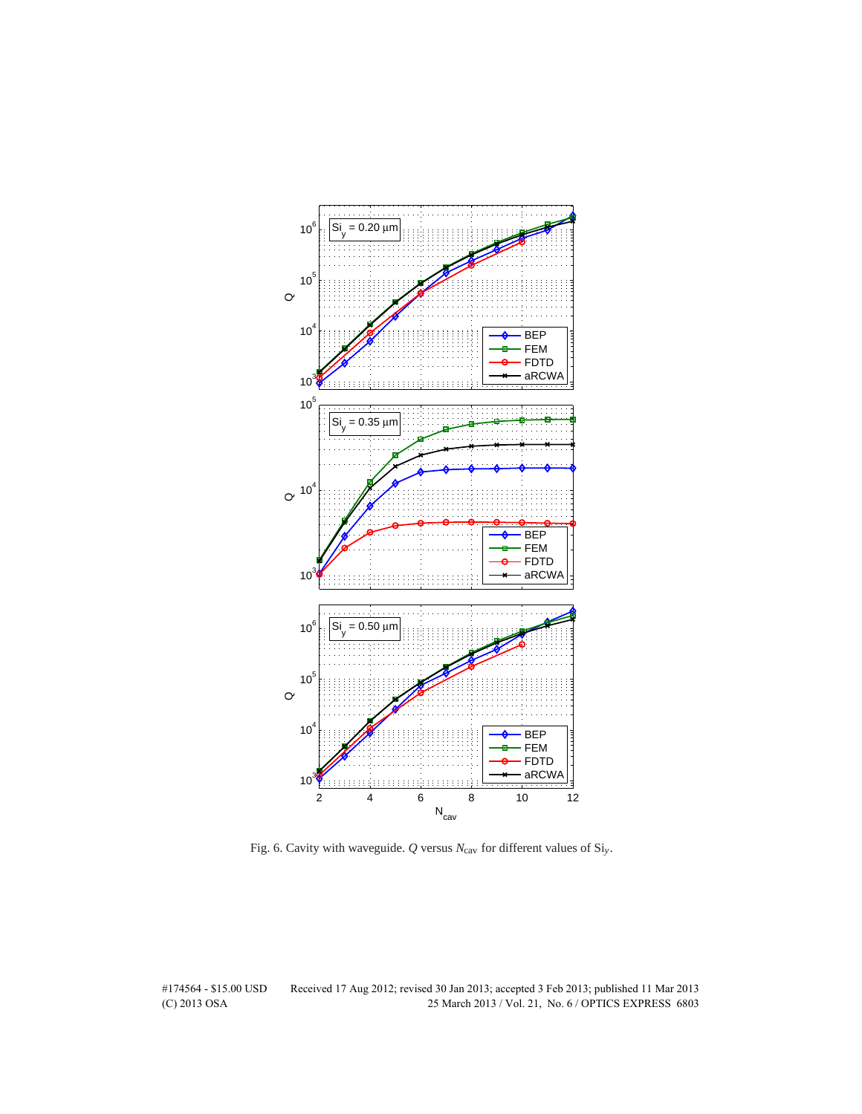

Fig. 6. Cavity with waveguide. *Q* versus  $N_{\text{cav}}$  for different values of Si<sub>y</sub>.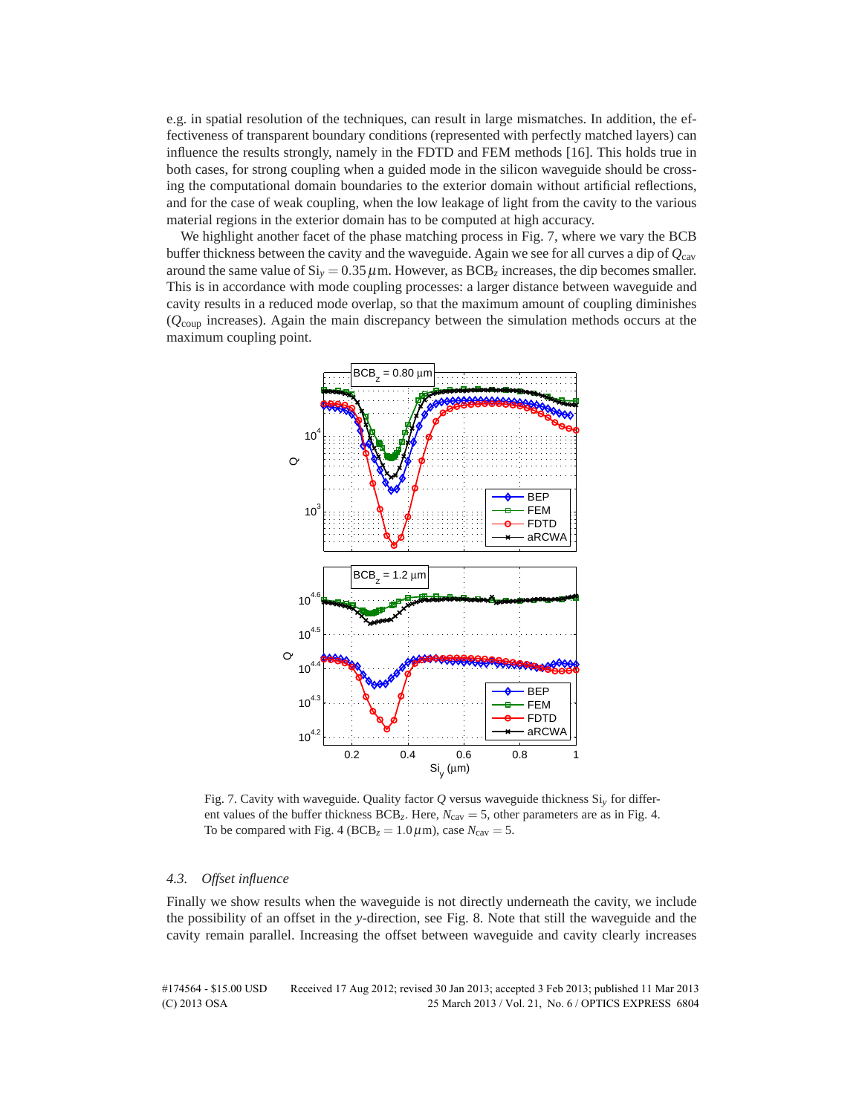e.g. in spatial resolution of the techniques, can result in large mismatches. In addition, the effectiveness of transparent boundary conditions (represented with perfectly matched layers) can influence the results strongly, namely in the FDTD and FEM methods [16]. This holds true in both cases, for strong coupling when a guided mode in the silicon waveguide should be crossing the computational domain boundaries to the exterior domain without artificial reflections, and for the case of weak coupling, when the low leakage of light from the cavity to the various material regions in the exterior domain has to be computed at high accuracy.

We highlight another facet of the phase matching process in Fig. 7, where we vary the BCB buffer thickness between the cavity and the waveguide. Again we see for all curves a dip of *Q*cav around the same value of  $Si_y = 0.35 \,\mu \text{m}$ . However, as  $BCB_z$  increases, the dip becomes smaller. This is in accordance with mode coupling processes: a larger distance between waveguide and cavity results in a reduced mode overlap, so that the maximum amount of coupling diminishes (*Q*coup increases). Again the main discrepancy between the simulation methods occurs at the maximum coupling point.



Fig. 7. Cavity with waveguide. Quality factor  $Q$  versus waveguide thickness  $Si<sub>v</sub>$  for different values of the buffer thickness BCB*z*. Here, *N*cav = 5, other parameters are as in Fig. 4. To be compared with Fig. 4 ( $BCB_z = 1.0 \,\mu\text{m}$ ), case  $N_{\text{cav}} = 5$ .

# *4.3. Offset influence*

Finally we show results when the waveguide is not directly underneath the cavity, we include the possibility of an offset in the *y*-direction, see Fig. 8. Note that still the waveguide and the cavity remain parallel. Increasing the offset between waveguide and cavity clearly increases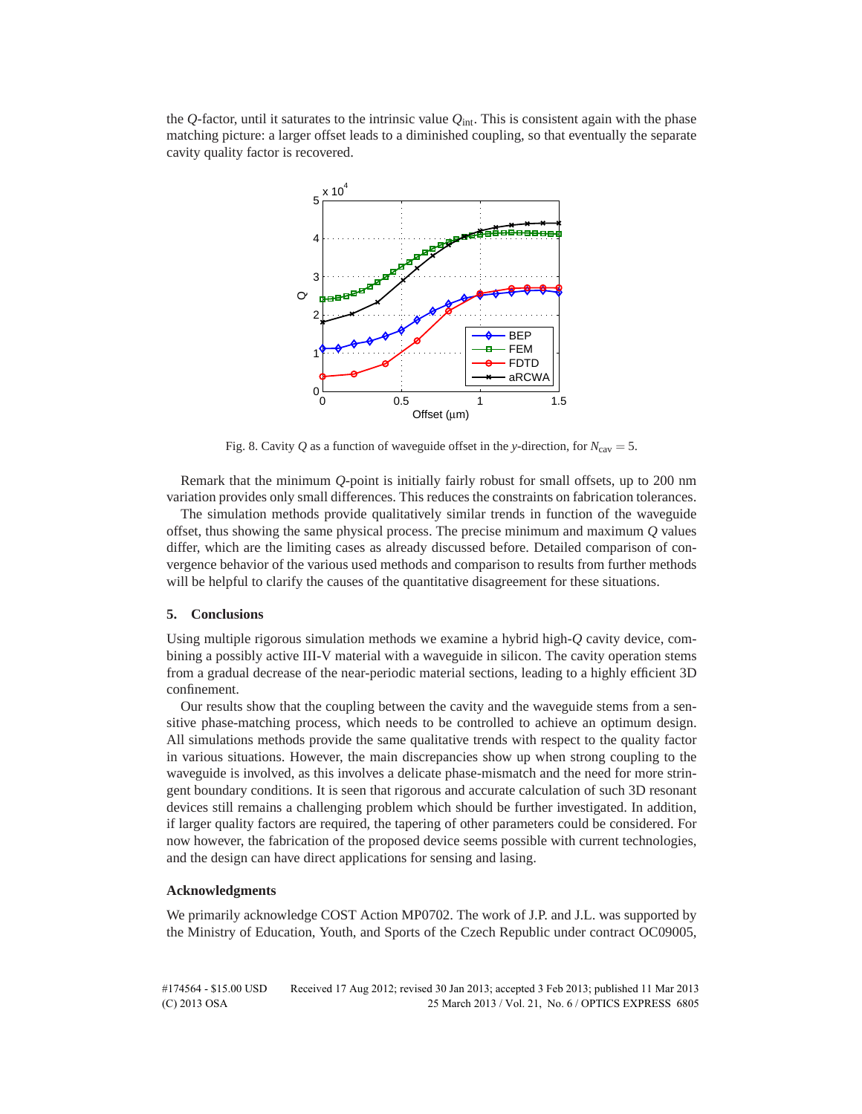the *Q*-factor, until it saturates to the intrinsic value *Q*int. This is consistent again with the phase matching picture: a larger offset leads to a diminished coupling, so that eventually the separate cavity quality factor is recovered.



Fig. 8. Cavity Q as a function of waveguide offset in the *y*-direction, for  $N_{\text{cav}} = 5$ .

Remark that the minimum *Q*-point is initially fairly robust for small offsets, up to 200 nm variation provides only small differences. This reduces the constraints on fabrication tolerances.

The simulation methods provide qualitatively similar trends in function of the waveguide offset, thus showing the same physical process. The precise minimum and maximum *Q* values differ, which are the limiting cases as already discussed before. Detailed comparison of convergence behavior of the various used methods and comparison to results from further methods will be helpful to clarify the causes of the quantitative disagreement for these situations.

# **5. Conclusions**

Using multiple rigorous simulation methods we examine a hybrid high-*Q* cavity device, combining a possibly active III-V material with a waveguide in silicon. The cavity operation stems from a gradual decrease of the near-periodic material sections, leading to a highly efficient 3D confinement.

Our results show that the coupling between the cavity and the waveguide stems from a sensitive phase-matching process, which needs to be controlled to achieve an optimum design. All simulations methods provide the same qualitative trends with respect to the quality factor in various situations. However, the main discrepancies show up when strong coupling to the waveguide is involved, as this involves a delicate phase-mismatch and the need for more stringent boundary conditions. It is seen that rigorous and accurate calculation of such 3D resonant devices still remains a challenging problem which should be further investigated. In addition, if larger quality factors are required, the tapering of other parameters could be considered. For now however, the fabrication of the proposed device seems possible with current technologies, and the design can have direct applications for sensing and lasing.

#### **Acknowledgments**

We primarily acknowledge COST Action MP0702. The work of J.P. and J.L. was supported by the Ministry of Education, Youth, and Sports of the Czech Republic under contract OC09005,